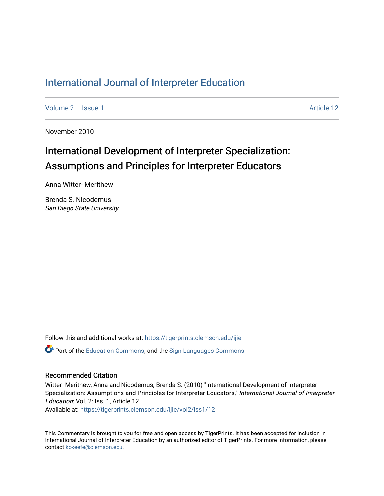# [International Journal of Interpreter Education](https://tigerprints.clemson.edu/ijie)

[Volume 2](https://tigerprints.clemson.edu/ijie/vol2) | [Issue 1](https://tigerprints.clemson.edu/ijie/vol2/iss1) Article 12

November 2010

# International Development of Interpreter Specialization: Assumptions and Principles for Interpreter Educators

Anna Witter- Merithew

Brenda S. Nicodemus San Diego State University

Follow this and additional works at: [https://tigerprints.clemson.edu/ijie](https://tigerprints.clemson.edu/ijie?utm_source=tigerprints.clemson.edu%2Fijie%2Fvol2%2Fiss1%2F12&utm_medium=PDF&utm_campaign=PDFCoverPages)  **P** Part of the [Education Commons](https://network.bepress.com/hgg/discipline/784?utm_source=tigerprints.clemson.edu%2Fijie%2Fvol2%2Fiss1%2F12&utm_medium=PDF&utm_campaign=PDFCoverPages), and the Sign Languages Commons

#### Recommended Citation

Witter- Merithew, Anna and Nicodemus, Brenda S. (2010) "International Development of Interpreter Specialization: Assumptions and Principles for Interpreter Educators," International Journal of Interpreter Education: Vol. 2: Iss. 1, Article 12.

Available at: [https://tigerprints.clemson.edu/ijie/vol2/iss1/12](https://tigerprints.clemson.edu/ijie/vol2/iss1/12?utm_source=tigerprints.clemson.edu%2Fijie%2Fvol2%2Fiss1%2F12&utm_medium=PDF&utm_campaign=PDFCoverPages) 

This Commentary is brought to you for free and open access by TigerPrints. It has been accepted for inclusion in International Journal of Interpreter Education by an authorized editor of TigerPrints. For more information, please contact [kokeefe@clemson.edu.](mailto:kokeefe@clemson.edu)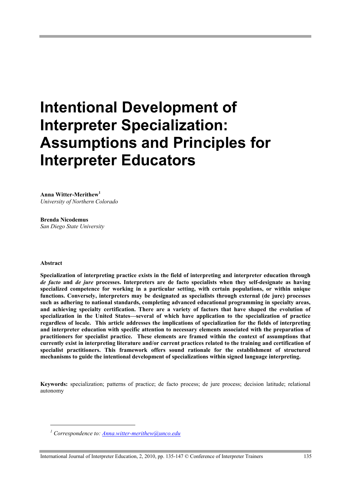# **Intentional Development of Interpreter Specialization: Assumptions and Principles for Interpreter Educators**

**Anna Witter-Merithew<sup>1</sup>** *University of Northern Colorado*

**Brenda Nicodemus** *San Diego State University*

#### **Abstract**

l

**Specialization of interpreting practice exists in the field of interpreting and interpreter education through**  *de facto* **and** *de jure* **processes. Interpreters are de facto specialists when they self-designate as having specialized competence for working in a particular setting, with certain populations, or within unique functions. Conversely, interpreters may be designated as specialists through external (de jure) processes such as adhering to national standards, completing advanced educational programming in specialty areas, and achieving specialty certification. There are a variety of factors that have shaped the evolution of specialization in the United States—several of which have application to the specialization of practice regardless of locale. This article addresses the implications of specialization for the fields of interpreting and interpreter education with specific attention to necessary elements associated with the preparation of practitioners for specialist practice. These elements are framed within the context of assumptions that currently exist in interpreting literature and/or current practices related to the training and certification of specialist practitioners. This framework offers sound rationale for the establishment of structured mechanisms to guide the intentional development of specializations within signed language interpreting.** 

**Keywords:** specialization; patterns of practice; de facto process; de jure process; decision latitude; relational autonomy

*<sup>1</sup> Correspondence to: Anna.witter-merithew@unco.edu*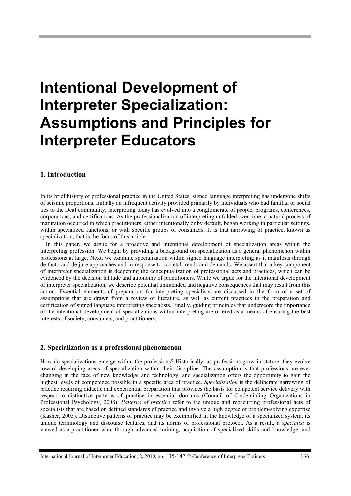# **Intentional Development of Interpreter Specialization: Assumptions and Principles for Interpreter Educators**

#### **1. Introduction**

In its brief history of professional practice in the United States, signed language interpreting has undergone shifts of seismic proportions. Initially an infrequent activity provided primarily by individuals who had familial or social ties to the Deaf community, interpreting today has evolved into a conglomerate of people, programs, conferences, corporations, and certifications. As the professionalization of interpreting unfolded over time, a natural process of maturation occurred in which practitioners, either intentionally or by default, began working in particular settings, within specialized functions, or with specific groups of consumers. It is that narrowing of practice, known as specialization, that is the focus of this article.

In this paper, we argue for a proactive and intentional development of specialization areas within the interpreting profession. We begin by providing a background on specialization as a general phenomenon within professions at large. Next, we examine specialization within signed language interpreting as it manifests through de facto and de jure approaches and in response to societal trends and demands. We assert that a key component of interpreter specialization is deepening the conceptualization of professional acts and practices, which can be evidenced by the decision latitude and autonomy of practitioners. While we argue for the intentional development of interpreter specialization, we describe potential unintended and negative consequences that may result from this action. Essential elements of preparation for interpreting specialists are discussed in the form of a set of assumptions that are drawn from a review of literature, as well as current practices in the preparation and certification of signed language interpreting specialists. Finally, guiding principles that underscore the importance of the intentional development of specializations within interpreting are offered as a means of ensuring the best interests of society, consumers, and practitioners.

#### **2. Specialization as a professional phenomenon**

How do specializations emerge within the professions? Historically, as professions grow in stature, they evolve toward developing areas of specialization within their discipline. The assumption is that professions are ever changing in the face of new knowledge and technology, and specialization offers the opportunity to gain the highest levels of competence possible in a specific area of practice. *Specialization* is the deliberate narrowing of practice requiring didactic and experiential preparation that provides the basis for competent service delivery with respect to distinctive patterns of practice in essential domains (Council of Credentialing Organizations in Professional Psychology, 2008). *Patterns of practice* refer to the unique and reoccurring professional acts of specialists that are based on defined standards of practice and involve a high degree of problem-solving expertise (Kasher, 2005). Distinctive patterns of practice may be exemplified in the knowledge of a specialized system, its unique terminology and discourse features, and its norms of professional protocol. As a result, a *specialist* is viewed as a practitioner who, through advanced training, acquisition of specialized skills and knowledge, and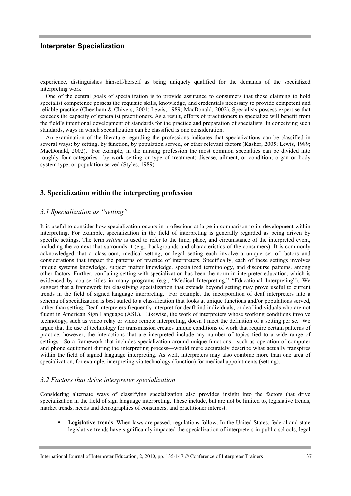experience, distinguishes himself/herself as being uniquely qualified for the demands of the specialized interpreting work.

One of the central goals of specialization is to provide assurance to consumers that those claiming to hold specialist competence possess the requisite skills, knowledge, and credentials necessary to provide competent and reliable practice (Cheetham & Chivers, 2001; Lewis, 1989; MacDonald, 2002). Specialists possess expertise that exceeds the capacity of generalist practitioners. As a result, efforts of practitioners to specialize will benefit from the field's intentional development of standards for the practice and preparation of specialists. In conceiving such standards, ways in which specialization can be classified is one consideration.

An examination of the literature regarding the professions indicates that specializations can be classified in several ways: by setting, by function, by population served, or other relevant factors (Kasher, 2005; Lewis, 1989; MacDonald, 2002). For example, in the nursing profession the most common specialties can be divided into roughly four categories—by work setting or type of treatment; disease, ailment, or condition; organ or body system type; or population served (Styles, 1989).

## **3. Specialization within the interpreting profession**

#### *3.1 Specialization as "setting"*

It is useful to consider how specialization occurs in professions at large in comparison to its development within interpreting. For example, specialization in the field of interpreting is generally regarded as being driven by specific settings. The term *setting* is used to refer to the time, place, and circumstance of the interpreted event, including the context that surrounds it (e.g., backgrounds and characteristics of the consumers). It is commonly acknowledged that a classroom, medical setting, or legal setting each involve a unique set of factors and considerations that impact the patterns of practice of interpreters. Specifically, each of these settings involves unique systems knowledge, subject matter knowledge, specialized terminology, and discourse patterns, among other factors. Further, conflating setting with specialization has been the norm in interpreter education, which is evidenced by course titles in many programs (e.g., "Medical Interpreting," "Educational Interpreting"). We suggest that a framework for classifying specialization that extends beyond setting may prove useful to current trends in the field of signed language interpreting. For example, the incorporation of deaf interpreters into a schema of specialization is best suited to a classification that looks at unique functions and/or populations served, rather than setting. Deaf interpreters frequently interpret for deafblind individuals, or deaf individuals who are not fluent in American Sign Language (ASL). Likewise, the work of interpreters whose working conditions involve technology, such as video relay or video remote interpreting, doesn't meet the definition of a setting per se. We argue that the use of technology for transmission creates unique conditions of work that require certain patterns of practice; however, the interactions that are interpreted include any number of topics tied to a wide range of settings. So a framework that includes specialization around unique functions—such as operation of computer and phone equipment during the interpreting process—would more accurately describe what actually transpires within the field of signed language interpreting. As well, interpreters may also combine more than one area of specialization, for example, interpreting via technology (function) for medical appointments (setting).

#### *3.2 Factors that drive interpreter specialization*

Considering alternate ways of classifying specialization also provides insight into the factors that drive specialization in the field of sign language interpreting. These include, but are not be limited to, legislative trends, market trends, needs and demographics of consumers, and practitioner interest.

• **Legislative trends**. When laws are passed, regulations follow. In the United States, federal and state legislative trends have significantly impacted the specialization of interpreters in public schools, legal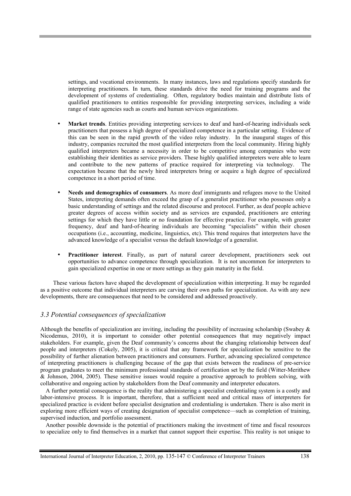settings, and vocational environments. In many instances, laws and regulations specify standards for interpreting practitioners. In turn, these standards drive the need for training programs and the development of systems of credentialing. Often, regulatory bodies maintain and distribute lists of qualified practitioners to entities responsible for providing interpreting services, including a wide range of state agencies such as courts and human services organizations.

- **Market trends**. Entities providing interpreting services to deaf and hard-of-hearing individuals seek practitioners that possess a high degree of specialized competence in a particular setting. Evidence of this can be seen in the rapid growth of the video relay industry. In the inaugural stages of this industry, companies recruited the most qualified interpreters from the local community. Hiring highly qualified interpreters became a necessity in order to be competitive among companies who were establishing their identities as service providers. These highly qualified interpreters were able to learn and contribute to the new patterns of practice required for interpreting via technology. The expectation became that the newly hired interpreters bring or acquire a high degree of specialized competence in a short period of time.
- **Needs and demographics of consumers**. As more deaf immigrants and refugees move to the United States, interpreting demands often exceed the grasp of a generalist practitioner who possesses only a basic understanding of settings and the related discourse and protocol. Further, as deaf people achieve greater degrees of access within society and as services are expanded, practitioners are entering settings for which they have little or no foundation for effective practice. For example, with greater frequency, deaf and hard-of-hearing individuals are becoming "specialists" within their chosen occupations (i.e., accounting, medicine, linguistics, etc). This trend requires that interpreters have the advanced knowledge of a specialist versus the default knowledge of a generalist.
- **Practitioner interest**. Finally, as part of natural career development, practitioners seek out opportunities to advance competence through specialization. It is not uncommon for interpreters to gain specialized expertise in one or more settings as they gain maturity in the field.

 These various factors have shaped the development of specialization within interpreting. It may be regarded as a positive outcome that individual interpreters are carving their own paths for specialization. As with any new developments, there are consequences that need to be considered and addressed proactively.

## *3.3 Potential consequences of specialization*

Although the benefits of specialization are inviting, including the possibility of increasing scholarship (Swabey  $\&$ Nicodemus, 2010), it is important to consider other potential consequences that may negatively impact stakeholders. For example, given the Deaf community's concerns about the changing relationship between deaf people and interpreters (Cokely, 2005), it is critical that any framework for specialization be sensitive to the possibility of further alienation between practitioners and consumers. Further, advancing specialized competence of interpreting practitioners is challenging because of the gap that exists between the readiness of pre-service program graduates to meet the minimum professional standards of certification set by the field (Witter-Merithew & Johnson, 2004, 2005). These sensitive issues would require a proactive approach to problem solving, with collaborative and ongoing action by stakeholders from the Deaf community and interpreter educators.

A further potential consequence is the reality that administering a specialist credentialing system is a costly and labor-intensive process. It is important, therefore, that a sufficient need and critical mass of interpreters for specialized practice is evident before specialist designation and credentialing is undertaken. There is also merit in exploring more efficient ways of creating designation of specialist competence—such as completion of training, supervised induction, and portfolio assessment.

Another possible downside is the potential of practitioners making the investment of time and fiscal resources to specialize only to find themselves in a market that cannot support their expertise. This reality is not unique to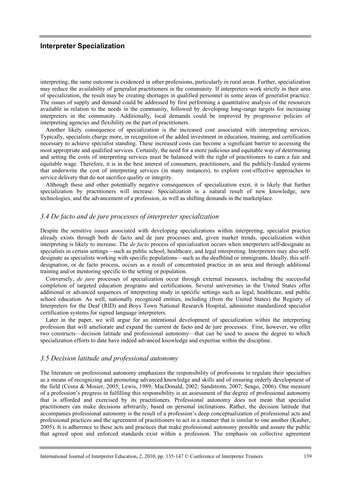interpreting; the same outcome is evidenced in other professions, particularly in rural areas. Further, specialization may reduce the availability of generalist practitioners in the community. If interpreters work strictly in their area of specialization, the result may be creating shortages in qualified personnel in some areas of generalist practice. The issues of supply and demand could be addressed by first performing a quantitative analysis of the resources available in relation to the needs in the community, followed by developing long-range targets for increasing interpreters in the community. Additionally, local demands could be improved by progressive policies of interpreting agencies and flexibility on the part of practitioners.

Another likely consequence of specialization is the increased cost associated with interpreting services. Typically, specialists charge more, in recognition of the added investment in education, training, and certification necessary to achieve specialist standing. These increased costs can become a significant barrier to accessing the most appropriate and qualified services. Certainly, the need for a more judicious and equitable way of determining and setting the costs of interpreting services must be balanced with the right of practitioners to earn a fair and equitable wage. Therefore, it is in the best interest of consumers, practitioners, and the publicly-funded systems that underwrite the cost of interpreting services (in many instances), to explore cost-effective approaches to service delivery that do not sacrifice quality or integrity.

Although these and other potentially negative consequences of specialization exist, it is likely that further specialization by practitioners will increase. Specialization is a natural result of new knowledge, new technologies, and the advancement of a profession, as well as shifting demands in the marketplace.

#### *3.4 De facto and de jure processes of interpreter specialization*

Despite the sensitive issues associated with developing specializations within interpreting, specialist practice already exists through both de facto and de jure processes and, given market trends, specialization within interpreting is likely to increase. The *de facto* process of specialization occurs when interpreters self-designate as specialists in certain settings—such as public school, healthcare, and legal interpreting. Interpreters may also selfdesignate as specialists working with specific populations—such as the deafblind or immigrants. Ideally, this selfdesignation, or de facto process, occurs as a result of concentrated practice in an area and through additional training and/or mentoring specific to the setting or population.

Conversely, *de jure* processes of specialization occur through external measures, including the successful completion of targeted education programs and certifications. Several universities in the United States offer additional or advanced sequences of interpreting study in specific settings such as legal, healthcare, and public school education. As well, nationally recognized entities, including (from the United States) the Registry of Interpreters for the Deaf (RID) and Boys Town National Research Hospital, administer standardized specialist certification systems for signed language interpreters.

Later in the paper, we will argue for an intentional development of specialization within the interpreting profession that will ameliorate and expand the current de facto and de jure processes. First, however, we offer two constructs—decision latitude and professional autonomy—that can be used to assess the degree to which specialization efforts to date have indeed advanced knowledge and expertise within the discipline.

#### *3.5 Decision latitude and professional autonomy*

The literature on professional autonomy emphasizes the responsibility of professions to regulate their specialties as a means of recognizing and promoting advanced knowledge and skills and of ensuring orderly development of the field (Cesna & Mosier, 2005; Lewis, 1989; MacDonald, 2002; Sandstrom, 2007; Seago, 2006). One measure of a profession's progress in fulfilling this responsibility is an assessment of the degree of professional autonomy that is afforded and exercised by its practitioners. Professional autonomy does not mean that specialist practitioners can make decisions arbitrarily, based on personal inclinations. Rather, the decision latitude that accompanies professional autonomy is the result of a profession's deep conceptualization of professional acts and professional practices and the agreement of practitioners to act in a manner that is similar to one another (Kasher, 2005). It is adherence to these acts and practices that make professional autonomy possible and assure the public that agreed upon and enforced standards exist within a profession. The emphasis on collective agreement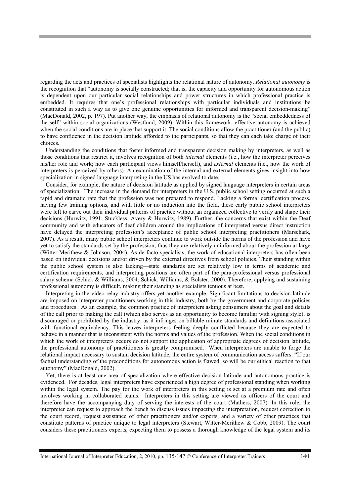regarding the acts and practices of specialists highlights the relational nature of autonomy. *Relational autonomy* is the recognition that "autonomy is socially constructed; that is, the capacity and opportunity for autonomous action is dependent upon our particular social relationships and power structures in which professional practice is embedded. It requires that one's professional relationships with particular individuals and institutions be constituted in such a way as to give one genuine opportunities for informed and transparent decision-making" (MacDonald, 2002, p. 197). Put another way, the emphasis of relational autonomy is the "social embeddedness of the self" within social organizations (Westlund, 2009). Within this framework, effective autonomy is achieved when the social conditions are in place that support it. The social conditions allow the practitioner (and the public) to have confidence in the decision latitude afforded to the participants, so that they can each take charge of their choices.

Understanding the conditions that foster informed and transparent decision making by interpreters, as well as those conditions that restrict it, involves recognition of both *internal* elements (i.e., how the interpreter perceives his/her role and work; how each participant views himself/herself), and *external* elements (i.e., how the work of interpreters is perceived by others). An examination of the internal and external elements gives insight into how specialization in signed language interpreting in the US has evolved to date.

Consider, for example, the nature of decision latitude as applied by signed language interpreters in certain areas of specialization. The increase in the demand for interpreters in the U.S. public school setting occurred at such a rapid and dramatic rate that the profession was not prepared to respond. Lacking a formal certification process, having few training options, and with little or no induction into the field, these early public school interpreters were left to carve out their individual patterns of practice without an organized collective to verify and shape their decisions (Hurwitz, 1991; Stuckless, Avery & Hurwitz, 1989). Further, the concerns that exist within the Deaf community and with educators of deaf children around the implications of interpreted versus direct instruction have delayed the interpreting profession's acceptance of public school interpreting practitioners (Marschark, 2007). As a result, many public school interpreters continue to work outside the norms of the profession and have yet to satisfy the standards set by the profession; thus they are relatively uninformed about the profession at large (Witter-Merithew & Johnson, 2004). As de facto specialists, the work of educational interpreters has often been based on individual decisions and/or driven by the external directives from school policies. Their standing within the public school system is also lacking—state standards are set relatively low in terms of academic and certification requirements, and interpreting positions are often part of the para-professional versus professional salary schema (Schick & Williams, 2004; Schick, Williams, & Bolster, 2000). Therefore, applying and sustaining professional autonomy is difficult, making their standing as specialists tenuous at best.

Interpreting in the video relay industry offers yet another example. Significant limitations to decision latitude are imposed on interpreter practitioners working in this industry, both by the government and corporate policies and procedures. As an example, the common practice of interpreters asking consumers about the goal and details of the call prior to making the call (which also serves as an opportunity to become familiar with signing style), is discouraged or prohibited by the industry, as it infringes on billable minute standards and definitions associated with functional equivalency. This leaves interpreters feeling deeply conflicted because they are expected to behave in a manner that is inconsistent with the norms and values of the profession. When the social conditions in which the work of interpreters occurs do not support the application of appropriate degrees of decision latitude, the professional autonomy of practitioners is greatly compromised. When interpreters are unable to forge the relational impact necessary to sustain decision latitude, the entire system of communication access suffers. "If our factual understanding of the preconditions for autonomous action is flawed, so will be our ethical reaction to that autonomy" (MacDonald, 2002).

Yet, there is at least one area of specialization where effective decision latitude and autonomous practice is evidenced. For decades, legal interpreters have experienced a high degree of professional standing when working within the legal system. The pay for the work of interpreters in this setting is set at a premium rate and often involves working in collaborated teams. Interpreters in this setting are viewed as officers of the court and therefore have the accompanying duty of serving the interests of the court (Mathers, 2007). In this role, the interpreter can request to approach the bench to discuss issues impacting the interpretation, request correction to the court record, request assistance of other practitioners and/or experts, and a variety of other practices that constitute patterns of practice unique to legal interpreters (Stewart, Witter-Merithew & Cobb, 2009). The court considers these practitioners experts, expecting them to possess a thorough knowledge of the legal system and its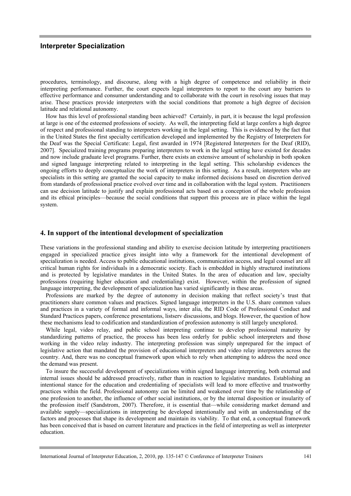procedures, terminology, and discourse, along with a high degree of competence and reliability in their interpreting performance. Further, the court expects legal interpreters to report to the court any barriers to effective performance and consumer understanding and to collaborate with the court in resolving issues that may arise. These practices provide interpreters with the social conditions that promote a high degree of decision latitude and relational autonomy.

How has this level of professional standing been achieved? Certainly, in part, it is because the legal profession at large is one of the esteemed professions of society. As well, the interpreting field at large confers a high degree of respect and professional standing to interpreters working in the legal setting. This is evidenced by the fact that in the United States the first specialty certification developed and implemented by the Registry of Interpreters for the Deaf was the Special Certificate: Legal, first awarded in 1974 [Registered Interpreters for the Deaf (RID), 2007]. Specialized training programs preparing interpreters to work in the legal setting have existed for decades and now include graduate level programs. Further, there exists an extensive amount of scholarship in both spoken and signed language interpreting related to interpreting in the legal setting. This scholarship evidences the ongoing efforts to deeply conceptualize the work of interpreters in this setting. As a result, interpreters who are specialists in this setting are granted the social capacity to make informed decisions based on discretion derived from standards of professional practice evolved over time and in collaboration with the legal system. Practitioners can use decision latitude to justify and explain professional acts based on a conception of the whole profession and its ethical principles—because the social conditions that support this process are in place within the legal system.

#### **4. In support of the intentional development of specialization**

These variations in the professional standing and ability to exercise decision latitude by interpreting practitioners engaged in specialized practice gives insight into why a framework for the intentional development of specialization is needed. Access to public educational institutions, communication access, and legal counsel are all critical human rights for individuals in a democratic society. Each is embedded in highly structured institutions and is protected by legislative mandates in the United States. In the area of education and law, specialty professions (requiring higher education and credentialing) exist. However, within the profession of signed language interpreting, the development of specialization has varied significantly in these areas.

Professions are marked by the degree of autonomy in decision making that reflect society's trust that practitioners share common values and practices. Signed language interpreters in the U.S. share common values and practices in a variety of formal and informal ways, inter alia, the RID Code of Professional Conduct and Standard Practices papers, conference presentations, listserv discussions, and blogs. However, the question of how these mechanisms lead to codification and standardization of profession autonomy is still largely unexplored.

While legal, video relay, and public school interpreting continue to develop professional maturity by standardizing patterns of practice, the process has been less orderly for public school interpreters and those working in the video relay industry. The interpreting profession was simply unprepared for the impact of legislative action that mandated the provision of educational interpreters and video relay interpreters across the country. And, there was no conceptual framework upon which to rely when attempting to address the need once the demand was present.

To insure the successful development of specializations within signed language interpreting, both external and internal issues should be addressed proactively, rather than in reaction to legislative mandates. Establishing an intentional stance for the education and credentialing of specialists will lead to more effective and trustworthy practices within the field. Professional autonomy can be limited and weakened over time by the relationship of one profession to another, the influence of other social institutions, or by the internal disposition or insularity of the profession itself (Sandstrom, 2007). Therefore, it is essential that—while considering market demand and available supply—specializations in interpreting be developed intentionally and with an understanding of the factors and processes that shape its development and maintain its viability. To that end, a conceptual framework has been conceived that is based on current literature and practices in the field of interpreting as well as interpreter education.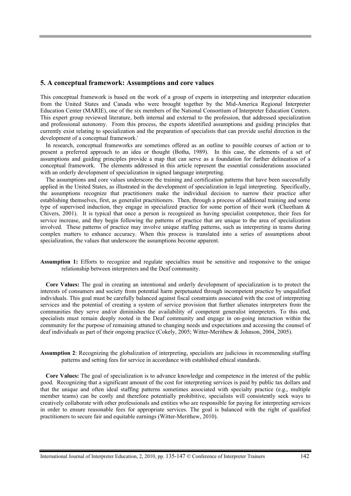#### **5. A conceptual framework: Assumptions and core values**

This conceptual framework is based on the work of a group of experts in interpreting and interpreter education from the United States and Canada who were brought together by the Mid-America Regional Interpreter Education Center (MARIE), one of the six members of the National Consortium of Interpreter Education Centers. This expert group reviewed literature, both internal and external to the profession, that addressed specialization and professional autonomy. From this process, the experts identified assumptions and guiding principles that currently exist relating to specialization and the preparation of specialists that can provide useful direction in the development of a conceptual framework.<sup>i</sup>

In research, conceptual frameworks are sometimes offered as an outline to possible courses of action or to present a preferred approach to an idea or thought (Botha, 1989). In this case, the elements of a set of assumptions and guiding principles provide a map that can serve as a foundation for further delineation of a conceptual framework. The elements addressed in this article represent the essential considerations associated with an orderly development of specialization in signed language interpreting.

The assumptions and core values underscore the training and certification patterns that have been successfully applied in the United States, as illustrated in the development of specialization in legal interpreting. Specifically, the assumptions recognize that practitioners make the individual decision to narrow their practice after establishing themselves, first, as generalist practitioners. Then, through a process of additional training and some type of supervised induction, they engage in specialized practice for some portion of their work (Cheetham & Chivers, 2001). It is typical that once a person is recognized as having specialist competence, their fees for service increase, and they begin following the patterns of practice that are unique to the area of specialization involved. These patterns of practice may involve unique staffing patterns, such as interpreting in teams during complex matters to enhance accuracy. When this process is translated into a series of assumptions about specialization, the values that underscore the assumptions become apparent.

**Assumption 1:** Efforts to recognize and regulate specialties must be sensitive and responsive to the unique relationship between interpreters and the Deaf community.

**Core Values:** The goal in creating an intentional and orderly development of specialization is to protect the interests of consumers and society from potential harm perpetuated through incompetent practice by unqualified individuals. This goal must be carefully balanced against fiscal constraints associated with the cost of interpreting services and the potential of creating a system of service provision that further alienates interpreters from the communities they serve and/or diminishes the availability of competent generalist interpreters. To this end, specialists must remain deeply rooted in the Deaf community and engage in on-going interaction within the community for the purpose of remaining attuned to changing needs and expectations and accessing the counsel of deaf individuals as part of their ongoing practice (Cokely, 2005; Witter-Merithew & Johnson, 2004, 2005).

**Assumption 2**: Recognizing the globalization of interpreting, specialists are judicious in recommending staffing patterns and setting fees for service in accordance with established ethical standards.

**Core Values:** The goal of specialization is to advance knowledge and competence in the interest of the public good. Recognizing that a significant amount of the cost for interpreting services is paid by public tax dollars and that the unique and often ideal staffing patterns sometimes associated with specialty practice (e.g., multiple member teams) can be costly and therefore potentially prohibitive, specialists will consistently seek ways to creatively collaborate with other professionals and entities who are responsible for paying for interpreting services in order to ensure reasonable fees for appropriate services. The goal is balanced with the right of qualified practitioners to secure fair and equitable earnings (Witter-Merithew, 2010).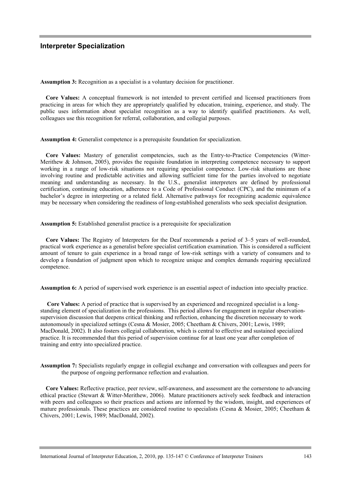**Assumption 3:** Recognition as a specialist is a voluntary decision for practitioner.

**Core Values:** A conceptual framework is not intended to prevent certified and licensed practitioners from practicing in areas for which they are appropriately qualified by education, training, experience, and study. The public uses information about specialist recognition as a way to identify qualified practitioners. As well, colleagues use this recognition for referral, collaboration, and collegial purposes.

**Assumption 4:** Generalist competence is a prerequisite foundation for specialization.

**Core Values:** Mastery of generalist competencies, such as the Entry-to-Practice Competencies (Witter-Merithew & Johnson, 2005), provides the requisite foundation in interpreting competence necessary to support working in a range of low-risk situations not requiring specialist competence. Low-risk situations are those involving routine and predictable activities and allowing sufficient time for the parties involved to negotiate meaning and understanding as necessary. In the U.S., generalist interpreters are defined by professional certification, continuing education, adherence to a Code of Professional Conduct (CPC), and the minimum of a bachelor's degree in interpreting or a related field. Alternative pathways for recognizing academic equivalence may be necessary when considering the readiness of long-established generalists who seek specialist designation.

**Assumption 5:** Established generalist practice is a prerequisite for specialization

**Core Values:** The Registry of Interpreters for the Deaf recommends a period of 3–5 years of well-rounded, practical work experience as a generalist before specialist certification examination. This is considered a sufficient amount of tenure to gain experience in a broad range of low-risk settings with a variety of consumers and to develop a foundation of judgment upon which to recognize unique and complex demands requiring specialized competence.

**Assumption 6:** A period of supervised work experience is an essential aspect of induction into specialty practice.

**Core Values:** A period of practice that is supervised by an experienced and recognized specialist is a longstanding element of specialization in the professions. This period allows for engagement in regular observationsupervision discussion that deepens critical thinking and reflection, enhancing the discretion necessary to work autonomously in specialized settings (Cesna & Mosier, 2005; Cheetham & Chivers, 2001; Lewis, 1989; MacDonald, 2002). It also fosters collegial collaboration, which is central to effective and sustained specialized practice. It is recommended that this period of supervision continue for at least one year after completion of training and entry into specialized practice.

**Assumption 7:** Specialists regularly engage in collegial exchange and conversation with colleagues and peers for the purpose of ongoing performance reflection and evaluation.

**Core Values:** Reflective practice, peer review, self-awareness, and assessment are the cornerstone to advancing ethical practice (Stewart & Witter-Merithew, 2006). Mature practitioners actively seek feedback and interaction with peers and colleagues so their practices and actions are informed by the wisdom, insight, and experiences of mature professionals. These practices are considered routine to specialists (Cesna & Mosier, 2005; Cheetham & Chivers, 2001; Lewis, 1989; MacDonald, 2002).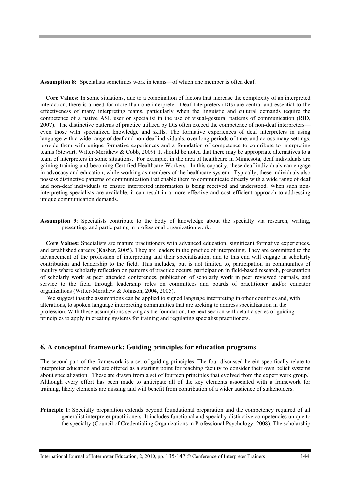**Assumption 8:** Specialists sometimes work in teams—of which one member is often deaf.

**Core Values:** In some situations, due to a combination of factors that increase the complexity of an interpreted interaction, there is a need for more than one interpreter. Deaf Interpreters (DIs) are central and essential to the effectiveness of many interpreting teams, particularly when the linguistic and cultural demands require the competence of a native ASL user or specialist in the use of visual-gestural patterns of communication (RID, 2007). The distinctive patterns of practice utilized by DIs often exceed the competence of non-deaf interpreters even those with specialized knowledge and skills. The formative experiences of deaf interpreters in using language with a wide range of deaf and non-deaf individuals, over long periods of time, and across many settings, provide them with unique formative experiences and a foundation of competence to contribute to interpreting teams (Stewart, Witter-Merithew & Cobb, 2009). It should be noted that there may be appropriate alternatives to a team of interpreters in some situations. For example, in the area of healthcare in Minnesota, deaf individuals are gaining training and becoming Certified Healthcare Workers. In this capacity, these deaf individuals can engage in advocacy and education, while working as members of the healthcare system. Typically, these individuals also possess distinctive patterns of communication that enable them to communicate directly with a wide range of deaf and non-deaf individuals to ensure interpreted information is being received and understood. When such noninterpreting specialists are available, it can result in a more effective and cost efficient approach to addressing unique communication demands.

**Assumption 9**: Specialists contribute to the body of knowledge about the specialty via research, writing, presenting, and participating in professional organization work.

**Core Values:** Specialists are mature practitioners with advanced education, significant formative experiences, and established careers (Kasher, 2005). They are leaders in the practice of interpreting. They are committed to the advancement of the profession of interpreting and their specialization, and to this end will engage in scholarly contribution and leadership to the field. This includes, but is not limited to, participation in communities of inquiry where scholarly reflection on patterns of practice occurs, participation in field-based research, presentation of scholarly work at peer attended conferences, publication of scholarly work in peer reviewed journals, and service to the field through leadership roles on committees and boards of practitioner and/or educator organizations (Witter-Merithew & Johnson, 2004, 2005).

We suggest that the assumptions can be applied to signed language interpreting in other countries and, with alterations, to spoken language interpreting communities that are seeking to address specialization in the profession. With these assumptions serving as the foundation, the next section will detail a series of guiding principles to apply in creating systems for training and regulating specialist practitioners.

#### **6. A conceptual framework: Guiding principles for education programs**

The second part of the framework is a set of guiding principles. The four discussed herein specifically relate to interpreter education and are offered as a starting point for teaching faculty to consider their own belief systems about specialization. These are drawn from a set of fourteen principles that evolved from the expert work group.<sup>ii</sup> Although every effort has been made to anticipate all of the key elements associated with a framework for training, likely elements are missing and will benefit from contribution of a wider audience of stakeholders.

**Principle 1:** Specialty preparation extends beyond foundational preparation and the competency required of all generalist interpreter practitioners. It includes functional and specialty-distinctive competencies unique to the specialty (Council of Credentialing Organizations in Professional Psychology, 2008). The scholarship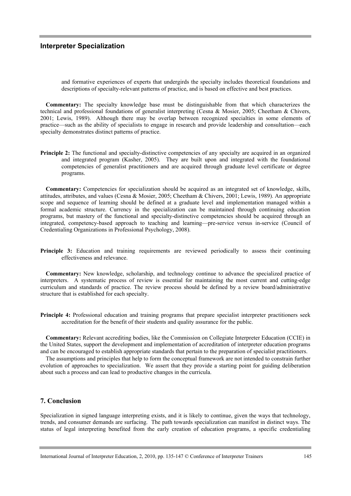and formative experiences of experts that undergirds the specialty includes theoretical foundations and descriptions of specialty-relevant patterns of practice, and is based on effective and best practices.

**Commentary:** The specialty knowledge base must be distinguishable from that which characterizes the technical and professional foundations of generalist interpreting (Cesna & Mosier, 2005; Cheetham & Chivers, 2001; Lewis, 1989). Although there may be overlap between recognized specialties in some elements of practice—such as the ability of specialists to engage in research and provide leadership and consultation—each specialty demonstrates distinct patterns of practice.

**Principle 2:** The functional and specialty-distinctive competencies of any specialty are acquired in an organized and integrated program (Kasher, 2005). They are built upon and integrated with the foundational competencies of generalist practitioners and are acquired through graduate level certificate or degree programs.

**Commentary:** Competencies for specialization should be acquired as an integrated set of knowledge, skills, attitudes, attributes, and values (Cesna & Mosier, 2005; Cheetham & Chivers, 2001; Lewis, 1989). An appropriate scope and sequence of learning should be defined at a graduate level and implementation managed within a formal academic structure. Currency in the specialization can be maintained through continuing education programs, but mastery of the functional and specialty-distinctive competencies should be acquired through an integrated, competency-based approach to teaching and learning—pre-service versus in-service (Council of Credentialing Organizations in Professional Psychology, 2008).

**Principle 3:** Education and training requirements are reviewed periodically to assess their continuing effectiveness and relevance.

**Commentary:** New knowledge, scholarship, and technology continue to advance the specialized practice of interpreters. A systematic process of review is essential for maintaining the most current and cutting-edge curriculum and standards of practice. The review process should be defined by a review board/administrative structure that is established for each specialty.

**Principle 4:** Professional education and training programs that prepare specialist interpreter practitioners seek accreditation for the benefit of their students and quality assurance for the public.

**Commentary:** Relevant accrediting bodies, like the Commission on Collegiate Interpreter Education (CCIE) in the United States, support the development and implementation of accreditation of interpreter education programs and can be encouraged to establish appropriate standards that pertain to the preparation of specialist practitioners.

The assumptions and principles that help to form the conceptual framework are not intended to constrain further evolution of approaches to specialization. We assert that they provide a starting point for guiding deliberation about such a process and can lead to productive changes in the curricula.

## **7. Conclusion**

Specialization in signed language interpreting exists, and it is likely to continue, given the ways that technology, trends, and consumer demands are surfacing. The path towards specialization can manifest in distinct ways. The status of legal interpreting benefited from the early creation of education programs, a specific credentialing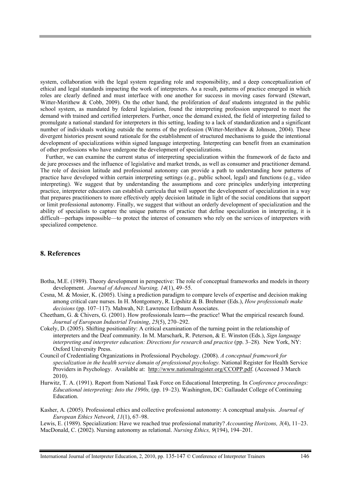system, collaboration with the legal system regarding role and responsibility, and a deep conceptualization of ethical and legal standards impacting the work of interpreters. As a result, patterns of practice emerged in which roles are clearly defined and must interface with one another for success in moving cases forward (Stewart, Witter-Merithew & Cobb, 2009). On the other hand, the proliferation of deaf students integrated in the public school system, as mandated by federal legislation, found the interpreting profession unprepared to meet the demand with trained and certified interpreters. Further, once the demand existed, the field of interpreting failed to promulgate a national standard for interpreters in this setting, leading to a lack of standardization and a significant number of individuals working outside the norms of the profession (Witter-Merithew & Johnson, 2004). These divergent histories present sound rationale for the establishment of structured mechanisms to guide the intentional development of specializations within signed language interpreting. Interpreting can benefit from an examination of other professions who have undergone the development of specializations.

Further, we can examine the current status of interpreting specialization within the framework of de facto and de jure processes and the influence of legislative and market trends, as well as consumer and practitioner demand. The role of decision latitude and professional autonomy can provide a path to understanding how patterns of practice have developed within certain interpreting settings (e.g., public school, legal) and functions (e.g., video interpreting). We suggest that by understanding the assumptions and core principles underlying interpreting practice, interpreter educators can establish curricula that will support the development of specialization in a way that prepares practitioners to more effectively apply decision latitude in light of the social conditions that support or limit professional autonomy. Finally, we suggest that without an orderly development of specialization and the ability of specialists to capture the unique patterns of practice that define specialization in interpreting, it is difficult—perhaps impossible—to protect the interest of consumers who rely on the services of interpreters with specialized competence.

## **8. References**

- Botha, M.E. (1989). Theory development in perspective: The role of conceptual frameworks and models in theory development. *Journal of Advanced Nursing, 14*(1), 49–55.
- Cesna, M. & Mosier, K. (2005). Using a prediction paradigm to compare levels of expertise and decision making among critical care nurses. In H. Montgomery, R. Lipshitz & B. Brehmer (Eds.), *How professionals make decisions* (pp. 107–117). Mahwah, NJ: Lawrence Erlbaum Associates.
- Cheetham, G. & Chivers, G. (2001). How professionals learn―the practice! What the empirical research found. *Journal of European Industrial Training*, *25*(5), 270–292.
- Cokely, D. (2005). Shifting positionality: A critical examination of the turning point in the relationship of interpreters and the Deaf community. In M. Marschark, R. Peterson, & E. Winston (Eds.), *Sign language interpreting and interpreter education: Directions for research and practice* (pp. 3–28). New York, NY: Oxford University Press.
- Council of Credentialing Organizations in Professional Psychology. (2008). *A conceptual framework for specialization in the health service domain of professional psychology.* National Register for Health Service Providers in Psychology. Available at: http://www.nationalregister.org/CCOPP.pdf. (Accessed 3 March 2010).
- Hurwitz, T. A. (1991). Report from National Task Force on Educational Interpreting. In *Conference proceedings: Educational interpreting: Into the 1990s,* (pp. 19–23). Washington, DC: Gallaudet College of Continuing Education.

Kasher, A. (2005). Professional ethics and collective professional autonomy: A conceptual analysis. *Journal of European Ethics Network, 11*(1), 67–98.

Lewis, E. (1989). Specialization: Have we reached true professional maturity? *Accounting Horizons, 3*(4), 11–23. MacDonald, C. (2002). Nursing autonomy as relational. *Nursing Ethics, 9*(194), 194–201.